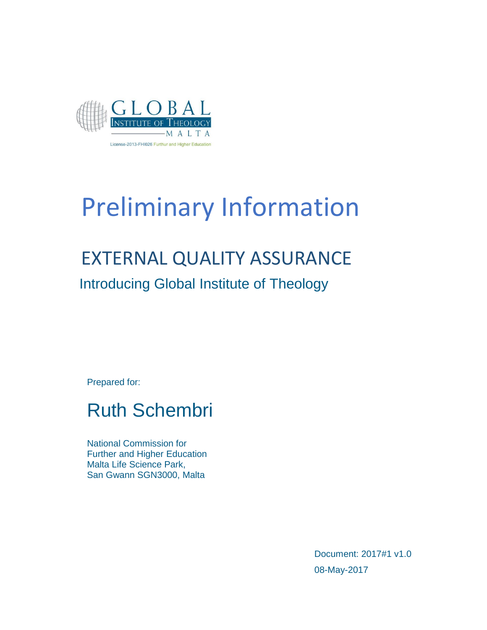

# Preliminary Information

## EXTERNAL QUALITY ASSURANCE

Introducing Global Institute of Theology

Prepared for:

### Ruth Schembri

National Commission for Further and Higher Education Malta Life Science Park, San Gwann SGN3000, Malta

> Document: 2017#1 v1.0 08-May-2017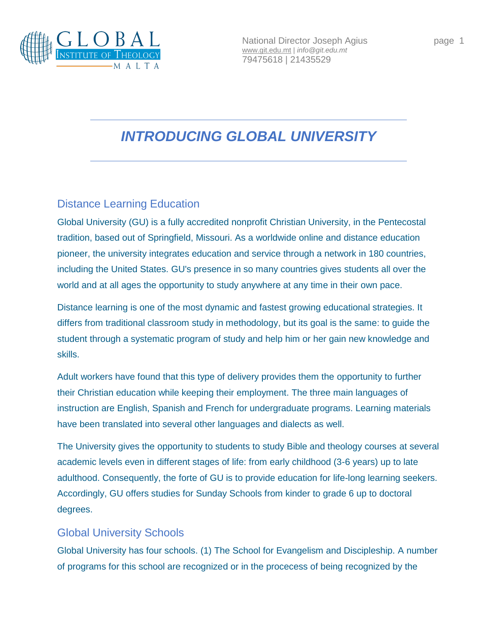

National Director Joseph Agius **page 1** [www.git.edu.mt](http://www.git.edu.mt/) | *info@git.edu.mt* 79475618 | 21435529

### *INTRODUCING GLOBAL UNIVERSITY*

#### Distance Learning Education

Global University (GU) is a fully accredited nonprofit Christian University, in the Pentecostal tradition, based out of Springfield, Missouri. As a worldwide online and distance education pioneer, the university integrates education and service through a network in 180 countries, including the United States. GU's presence in so many countries gives students all over the world and at all ages the opportunity to study anywhere at any time in their own pace.

Distance learning is one of the most dynamic and fastest growing educational strategies. It differs from traditional classroom study in methodology, but its goal is the same: to guide the student through a systematic program of study and help him or her gain new knowledge and skills.

Adult workers have found that this type of delivery provides them the opportunity to further their Christian education while keeping their employment. The three main languages of instruction are English, Spanish and French for undergraduate programs. Learning materials have been translated into several other languages and dialects as well.

The University gives the opportunity to students to study Bible and theology courses at several academic levels even in different stages of life: from early childhood (3-6 years) up to late adulthood. Consequently, the forte of GU is to provide education for life-long learning seekers. Accordingly, GU offers studies for Sunday Schools from kinder to grade 6 up to doctoral degrees.

#### Global University Schools

Global University has four schools. (1) The School for Evangelism and Discipleship. A number of programs for this school are recognized or in the procecess of being recognized by the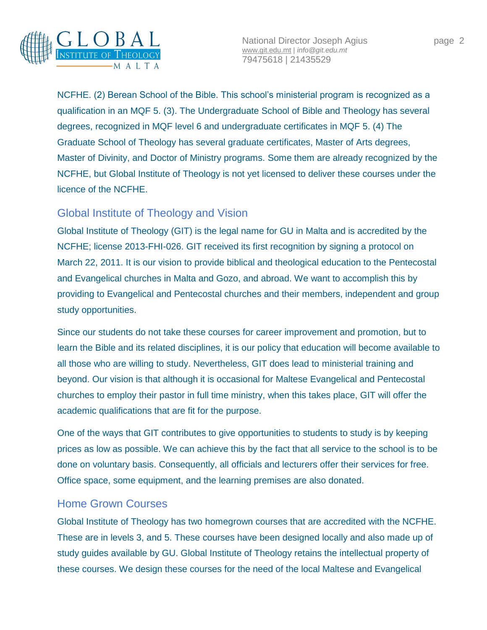

National Director Joseph Agius **page 2** [www.git.edu.mt](http://www.git.edu.mt/) | *info@git.edu.mt* 79475618 | 21435529

NCFHE. (2) Berean School of the Bible. This school's ministerial program is recognized as a qualification in an MQF 5. (3). The Undergraduate School of Bible and Theology has several degrees, recognized in MQF level 6 and undergraduate certificates in MQF 5. (4) The Graduate School of Theology has several graduate certificates, Master of Arts degrees, Master of Divinity, and Doctor of Ministry programs. Some them are already recognized by the NCFHE, but Global Institute of Theology is not yet licensed to deliver these courses under the licence of the NCFHE.

#### Global Institute of Theology and Vision

Global Institute of Theology (GIT) is the legal name for GU in Malta and is accredited by the NCFHE; license 2013-FHI-026. GIT received its first recognition by signing a protocol on March 22, 2011. It is our vision to provide biblical and theological education to the Pentecostal and Evangelical churches in Malta and Gozo, and abroad. We want to accomplish this by providing to Evangelical and Pentecostal churches and their members, independent and group study opportunities.

Since our students do not take these courses for career improvement and promotion, but to learn the Bible and its related disciplines, it is our policy that education will become available to all those who are willing to study. Nevertheless, GIT does lead to ministerial training and beyond. Our vision is that although it is occasional for Maltese Evangelical and Pentecostal churches to employ their pastor in full time ministry, when this takes place, GIT will offer the academic qualifications that are fit for the purpose.

One of the ways that GIT contributes to give opportunities to students to study is by keeping prices as low as possible. We can achieve this by the fact that all service to the school is to be done on voluntary basis. Consequently, all officials and lecturers offer their services for free. Office space, some equipment, and the learning premises are also donated.

#### Home Grown Courses

Global Institute of Theology has two homegrown courses that are accredited with the NCFHE. These are in levels 3, and 5. These courses have been designed locally and also made up of study guides available by GU. Global Institute of Theology retains the intellectual property of these courses. We design these courses for the need of the local Maltese and Evangelical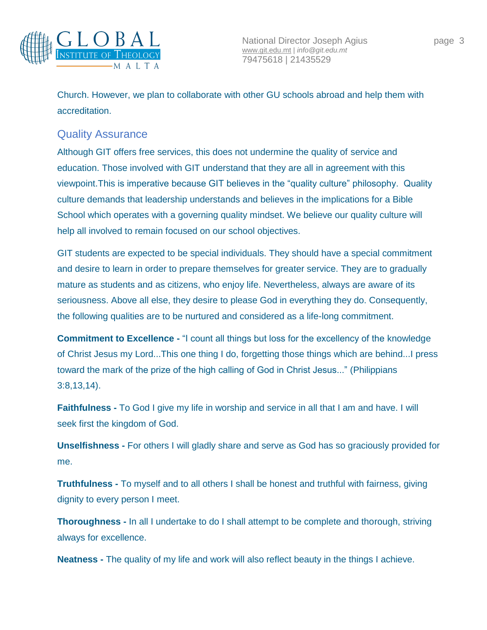

Church. However, we plan to collaborate with other GU schools abroad and help them with accreditation.

#### Quality Assurance

Although GIT offers free services, this does not undermine the quality of service and education. Those involved with GIT understand that they are all in agreement with this viewpoint.This is imperative because GIT believes in the "quality culture" philosophy. Quality culture demands that leadership understands and believes in the implications for a Bible School which operates with a governing quality mindset. We believe our quality culture will help all involved to remain focused on our school objectives.

GIT students are expected to be special individuals. They should have a special commitment and desire to learn in order to prepare themselves for greater service. They are to gradually mature as students and as citizens, who enjoy life. Nevertheless, always are aware of its seriousness. Above all else, they desire to please God in everything they do. Consequently, the following qualities are to be nurtured and considered as a life-long commitment.

**Commitment to Excellence -** "I count all things but loss for the excellency of the knowledge of Christ Jesus my Lord...This one thing I do, forgetting those things which are behind...I press toward the mark of the prize of the high calling of God in Christ Jesus..." (Philippians 3:8,13,14).

**Faithfulness -** To God I give my life in worship and service in all that I am and have. I will seek first the kingdom of God.

**Unselfishness -** For others I will gladly share and serve as God has so graciously provided for me.

**Truthfulness -** To myself and to all others I shall be honest and truthful with fairness, giving dignity to every person I meet.

**Thoroughness -** In all I undertake to do I shall attempt to be complete and thorough, striving always for excellence.

**Neatness -** The quality of my life and work will also reflect beauty in the things I achieve.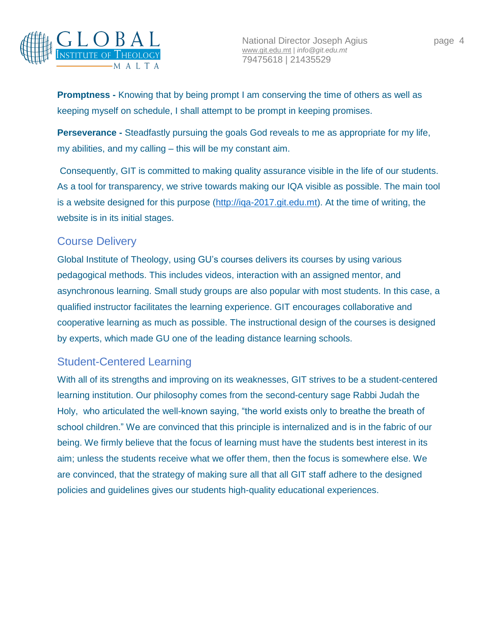

**Promptness -** Knowing that by being prompt I am conserving the time of others as well as keeping myself on schedule, I shall attempt to be prompt in keeping promises.

**Perseverance -** Steadfastly pursuing the goals God reveals to me as appropriate for my life, my abilities, and my calling – this will be my constant aim.

Consequently, GIT is committed to making quality assurance visible in the life of our students. As a tool for transparency, we strive towards making our IQA visible as possible. The main tool is a website designed for this purpose [\(http://iqa-2017.git.edu.mt\)](http://iqa-2017.git.edu.mt/). At the time of writing, the website is in its initial stages.

#### Course Delivery

Global Institute of Theology, using GU's courses delivers its courses by using various pedagogical methods. This includes videos, interaction with an assigned mentor, and asynchronous learning. Small study groups are also popular with most students. In this case, a qualified instructor facilitates the learning experience. GIT encourages collaborative and cooperative learning as much as possible. The instructional design of the courses is designed by experts, which made GU one of the leading distance learning schools.

#### Student-Centered Learning

With all of its strengths and improving on its weaknesses, GIT strives to be a student-centered learning institution. Our philosophy comes from the second-century sage Rabbi Judah the Holy, who articulated the well-known saying, "the world exists only to breathe the breath of school children." We are convinced that this principle is internalized and is in the fabric of our being. We firmly believe that the focus of learning must have the students best interest in its aim; unless the students receive what we offer them, then the focus is somewhere else. We are convinced, that the strategy of making sure all that all GIT staff adhere to the designed policies and guidelines gives our students high-quality educational experiences.